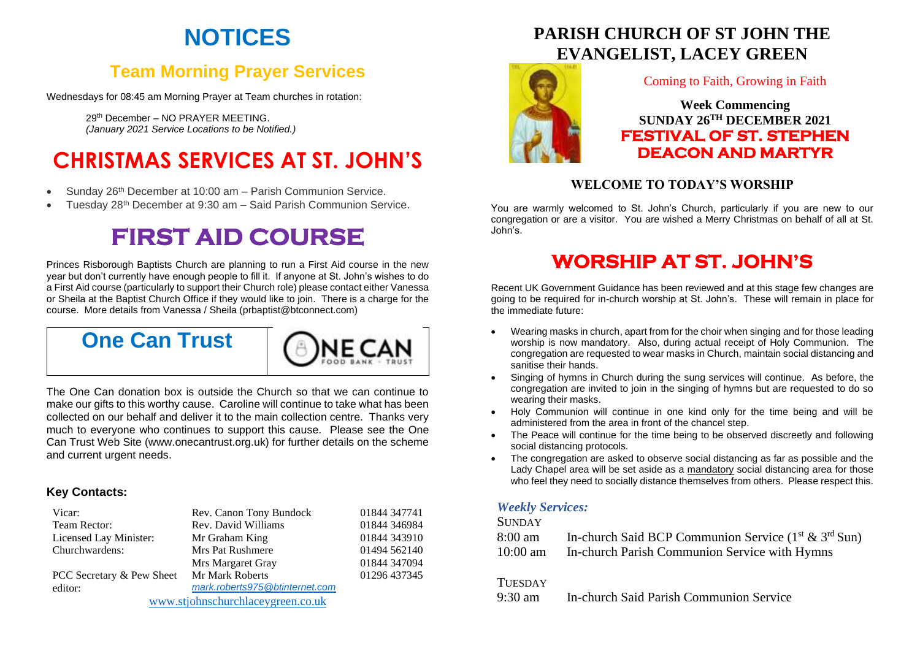# **NOTICES**

## **Team Morning Prayer Services**

Wednesdays for 08:45 am Morning Prayer at Team churches in rotation:

29th December – NO PRAYER MEETING. *(January 2021 Service Locations to be Notified.)*

# **CHRISTMAS SERVICES AT ST. JOHN'S**

- Sunday 26th December at 10:00 am Parish Communion Service.
- Tuesday 28th December at 9:30 am Said Parish Communion Service.

# **FIRST AID COURSE**

Princes Risborough Baptists Church are planning to run a First Aid course in the new year but don't currently have enough people to fill it. If anyone at St. John's wishes to do a First Aid course (particularly to support their Church role) please contact either Vanessa or Sheila at the Baptist Church Office if they would like to join. There is a charge for the course. More details from Vanessa / Sheila (prbaptist@btconnect.com)

## **One Can Trust**



The One Can donation box is outside the Church so that we can continue to make our gifts to this worthy cause. Caroline will continue to take what has been collected on our behalf and deliver it to the main collection centre. Thanks very much to everyone who continues to support this cause. Please see the One Can Trust Web Site (www.onecantrust.org.uk) for further details on the scheme and current urgent needs.

#### **Key Contacts:**

| Vicar:                            | Rev. Canon Tony Bundock        | 01844 347741 |
|-----------------------------------|--------------------------------|--------------|
| Team Rector:                      | Rev. David Williams            | 01844 346984 |
| Licensed Lay Minister:            | Mr Graham King                 | 01844 343910 |
| Churchwardens:                    | <b>Mrs Pat Rushmere</b>        | 01494 562140 |
|                                   | Mrs Margaret Gray              | 01844 347094 |
| PCC Secretary & Pew Sheet         | Mr Mark Roberts                | 01296 437345 |
| editor:                           | mark.roberts975@btinternet.com |              |
| www.stjohnschurchlaceygreen.co.uk |                                |              |

## **PARISH CHURCH OF ST JOHN THE EVANGELIST, LACEY GREEN**



#### Coming to Faith, Growing in Faith

**Week Commencing SUNDAY 26TH DECEMBER 2021 FESTIVAL OF ST. STEPHEN DEACON AND MARTYR** 

### **WELCOME TO TODAY'S WORSHIP**

You are warmly welcomed to St. John's Church, particularly if you are new to our congregation or are a visitor. You are wished a Merry Christmas on behalf of all at St. John's.

## **WORSHIP AT ST. JOHN'S**

Recent UK Government Guidance has been reviewed and at this stage few changes are going to be required for in-church worship at St. John's. These will remain in place for the immediate future:

- Wearing masks in church, apart from for the choir when singing and for those leading worship is now mandatory. Also, during actual receipt of Holy Communion. The congregation are requested to wear masks in Church, maintain social distancing and sanitise their hands.
- Singing of hymns in Church during the sung services will continue. As before, the congregation are invited to join in the singing of hymns but are requested to do so wearing their masks.
- Holy Communion will continue in one kind only for the time being and will be administered from the area in front of the chancel step.
- The Peace will continue for the time being to be observed discreetly and following social distancing protocols.
- The congregation are asked to observe social distancing as far as possible and the Lady Chapel area will be set aside as a mandatory social distancing area for those who feel they need to socially distance themselves from others. Please respect this.

#### *Weekly Services:*

#### **SUNDAY**

| 8:00 am    | In-church Said BCP Communion Service $(1^{st} \& 3^{rd} Sun)$ |
|------------|---------------------------------------------------------------|
| $10:00$ am | In-church Parish Communion Service with Hymns                 |

#### **TUESDAY**

9:30 am In-church Said Parish Communion Service